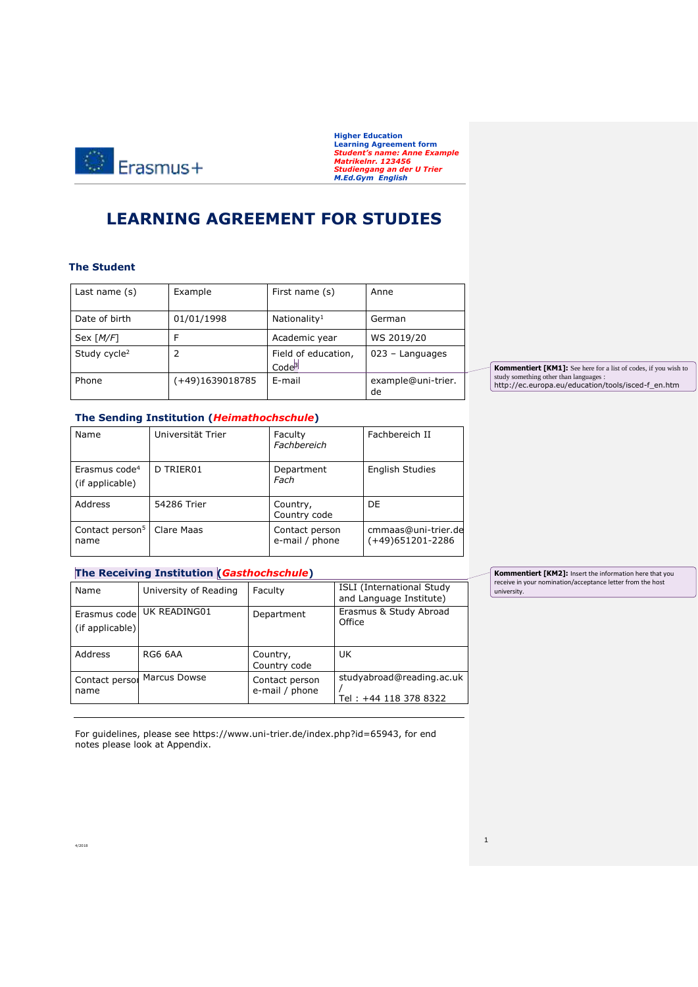

# **LEARNING AGREEMENT FOR STUDIES**

#### **The Student**

| Last name $(s)$          | Example           | First name (s)                           | Anne                     |
|--------------------------|-------------------|------------------------------------------|--------------------------|
| Date of birth            | 01/01/1998        | Nationality <sup>1</sup>                 | German                   |
| Sex $[M/F]$              | F                 | Academic year                            | WS 2019/20               |
| Study cycle <sup>2</sup> | 2                 | Field of education,<br>Code <sup>3</sup> | $023 -$ Languages        |
| Phone                    | $(+49)1639018785$ | E-mail                                   | example@uni-trier.<br>de |

**Kommentiert [KM1]:** See here for a list of codes, if you wish to study something other than languages : [http://ec.europa.eu/education/tools/isced-f\\_en.htm](http://ec.europa.eu/education/tools/isced-f_en.htm)

## **The Sending Institution (***Heimathochschule***)**

| Name                                         | Universität Trier | Faculty<br>Fachbereich           | Fachbereich II                          |
|----------------------------------------------|-------------------|----------------------------------|-----------------------------------------|
| Erasmus code <sup>4</sup><br>(if applicable) | D TRIER01         | Department<br>Fach               | English Studies                         |
| <b>Address</b>                               | 54286 Trier       | Country,<br>Country code         | DE.                                     |
| Contact person <sup>5</sup><br>name          | Clare Maas        | Contact person<br>e-mail / phone | cmmaas@uni-trier.de<br>(+49)651201-2286 |

## **The Receiving Institution (***Gasthochschule***)**

| Name                            | University of Reading | Faculty                          | ISLI (International Study<br>and Language Institute) |
|---------------------------------|-----------------------|----------------------------------|------------------------------------------------------|
| Erasmus code<br>(if applicable) | UK READING01          | Department                       | Erasmus & Study Abroad<br>Office                     |
| Address                         | RG6 6AA               | Country,<br>Country code         | UK.                                                  |
| Contact persor<br>name          | Marcus Dowse          | Contact person<br>e-mail / phone | studyabroad@reading.ac.uk<br>Tel: +44 118 378 8322   |

**Kommentiert [KM2]:** Insert the information here that you receive in your nomination/acceptance letter from the host university.

1

For guidelines, please see https://www.uni-trier.de/index.php?id=65943, for end notes please look at Appendix.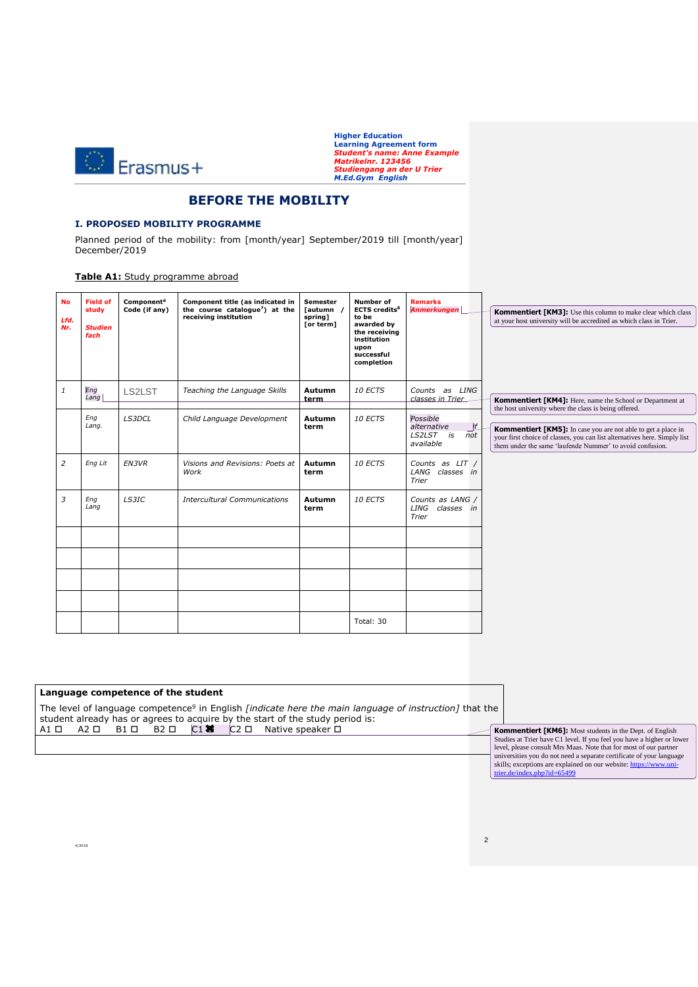

## **BEFORE THE MOBILITY**

#### **I. PROPOSED MOBILITY PROGRAMME**

Planned period of the mobility: from [month/year] September/2019 till [month/year] December/2019

#### **Table A1:** Study programme abroad

| <b>No</b><br>Lfd.<br>Nr. | <b>Field of</b><br>study<br><b>Studien</b><br>fach | Component <sup>6</sup><br>Code (if any) | Component title (as indicated in<br>the course catalogue <sup>7</sup> ) at the<br>receiving institution | <b>Semester</b><br>[autumn /<br>spring]<br>[or term] | Number of<br><b>ECTS</b> credits <sup>8</sup><br>to be<br>awarded by<br>the receiving<br>institution<br>upon<br>successful<br>completion | <b>Remarks</b><br><b>Anmerkungen</b>                           | <b>Kommentiert [KM3]:</b> Use this column to make clear which class<br>at your host university will be accredited as which class in Trier.                                                                     |
|--------------------------|----------------------------------------------------|-----------------------------------------|---------------------------------------------------------------------------------------------------------|------------------------------------------------------|------------------------------------------------------------------------------------------------------------------------------------------|----------------------------------------------------------------|----------------------------------------------------------------------------------------------------------------------------------------------------------------------------------------------------------------|
| $\it 1$                  | Eng<br>Lang                                        | LS2LST                                  | Teaching the Language Skills                                                                            | Autumn<br>term.                                      | 10 ECTS                                                                                                                                  | Counts as LING<br>classes in Trier                             | <b>Kommentiert [KM4]:</b> Here, name the School or Department at<br>the host university where the class is being offered.                                                                                      |
|                          | Eng<br>Lang.                                       | <b>LS3DCL</b>                           | Child Language Development                                                                              | Autumn<br>term                                       | 10 ECTS                                                                                                                                  | Possible<br>if<br>alternative<br>LS2LST is<br>not<br>available | <b>Kommentiert [KM5]:</b> In case you are not able to get a place in<br>your first choice of classes, you can list alternatives here. Simply list<br>them under the same 'laufende Nummer' to avoid confusion. |
| $\overline{2}$           | Eng Lit                                            | EN3VR                                   | Visions and Revisions: Poets at<br>Work                                                                 | Autumn<br>term                                       | 10 ECTS                                                                                                                                  | Counts as LIT /<br>LANG classes in<br>Trier                    |                                                                                                                                                                                                                |
| 3                        | Eng<br>Lang                                        | LS3IC                                   | <b>Intercultural Communications</b>                                                                     | Autumn<br>term                                       | 10 ECTS                                                                                                                                  | Counts as LANG /<br>LING classes in<br>Trier                   |                                                                                                                                                                                                                |
|                          |                                                    |                                         |                                                                                                         |                                                      |                                                                                                                                          |                                                                |                                                                                                                                                                                                                |
|                          |                                                    |                                         |                                                                                                         |                                                      |                                                                                                                                          |                                                                |                                                                                                                                                                                                                |
|                          |                                                    |                                         |                                                                                                         |                                                      |                                                                                                                                          |                                                                |                                                                                                                                                                                                                |
|                          |                                                    |                                         |                                                                                                         |                                                      |                                                                                                                                          |                                                                |                                                                                                                                                                                                                |
|                          |                                                    |                                         |                                                                                                         |                                                      | Total: 30                                                                                                                                |                                                                |                                                                                                                                                                                                                |

#### **Language competence of the student**

The level of language competence<sup>9</sup> in English *[indicate here the main language of instruction]* that the student already has or agrees to acquire by the start of the study period is: A1 □ A2 □ B1 □ B2 □ C1 <sup>></sup> C2 □ Native speaker □

**Kommentiert [KM6]:** Most students in the Dept. of English Studies at Trier have C1 level. If you feel you have a higher or lower level, please consult Mrs Maas. Note that for most of our partner universities you do not need a separate certificate of your language skills; exceptions are explained on our website: https://www.uni-<br>[trier.de/index.php?id=65499](https://www.uni-trier.de/index.php?id=65499)

2

4/2018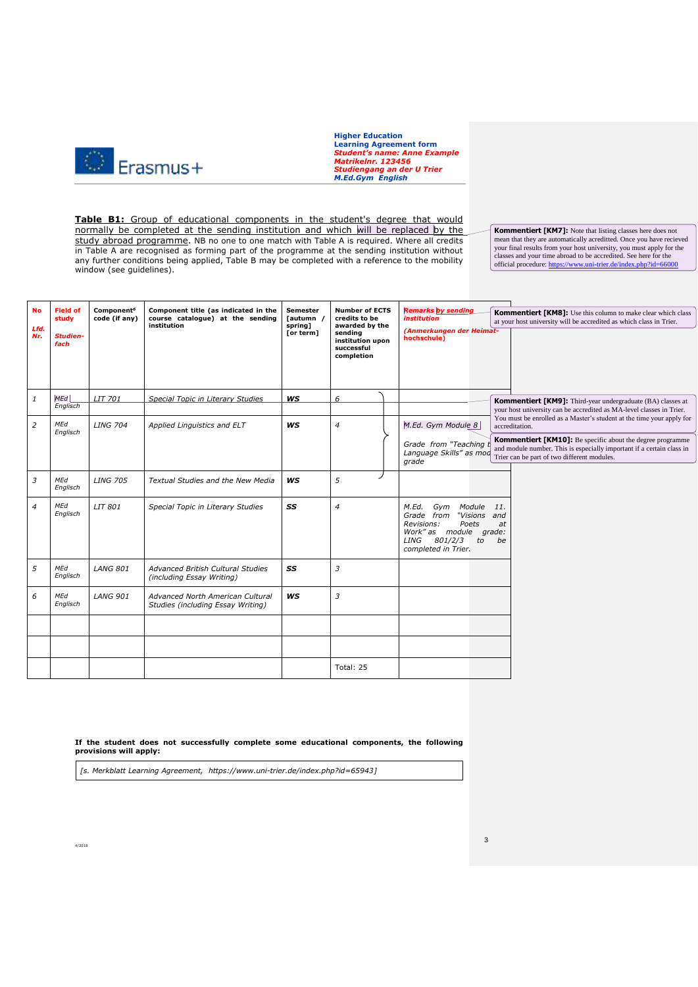

**Table B1:** Group of educational components in the student's degree that would normally be completed at the sending institution and which will be replaced by the study abroad programme. NB no one to one match with Table A is required. Where all credits in Table A are recognised as forming part of the programme at the sending institution without any further conditions being applied, Table B may be completed with a reference to the mobility window (see guidelines).

**Kommentiert [KM7]:** Note that listing classes here does not mean that they are automatically acredited. Once you have recieved your final results from your host university, you must apply for the classes and your time abr official procedure[: https://www.uni-trier.de/index.php?id=66000](https://www.uni-trier.de/index.php?id=66000)

| <b>No</b><br>Lfd.<br>Nr. | <b>Field of</b><br>study<br><b>Studien-</b><br>fach | Component <sup>6</sup><br>code (if any) | Component title (as indicated in the<br>course catalogue) at the sending<br>institution | <b>Semester</b><br>[autumn /<br>spring]<br>[or term] | <b>Number of ECTS</b><br>credits to be<br>awarded by the<br>sendina<br>institution upon<br>successful<br>completion | <b>Remarks by sending</b><br><i>institution</i><br>(Anmerkungen der Heimat-<br>hochschule)                                                                                  | <b>Kommentiert [KM8]:</b> Use this column to make clear which class<br>at your host university will be accredited as which class in Trier.                                                                                                                                           |
|--------------------------|-----------------------------------------------------|-----------------------------------------|-----------------------------------------------------------------------------------------|------------------------------------------------------|---------------------------------------------------------------------------------------------------------------------|-----------------------------------------------------------------------------------------------------------------------------------------------------------------------------|--------------------------------------------------------------------------------------------------------------------------------------------------------------------------------------------------------------------------------------------------------------------------------------|
| 1                        | MEd<br>Englisch                                     | LIT 701                                 | Special Topic in Literary Studies                                                       | WS                                                   | 6                                                                                                                   |                                                                                                                                                                             | Kommentiert [KM9]: Third-year undergraduate (BA) classes at<br>your host university can be accredited as MA-level classes in Trier.                                                                                                                                                  |
| $\overline{2}$           | MEd<br>Englisch                                     | <b>LING 704</b>                         | Applied Linguistics and ELT                                                             | <b>WS</b>                                            | $\overline{4}$                                                                                                      | M.Ed. Gym Module 8<br>Grade from "Teaching<br>Language Skills" as mod<br>grade                                                                                              | You must be enrolled as a Master's student at the time your apply for<br>accreditation.<br><b>Kommentiert [KM10]:</b> Be specific about the degree programme<br>and module number. This is especially important if a certain class in<br>Trier can be part of two different modules. |
| 3                        | MEd<br>Englisch                                     | <b>LING 705</b>                         | Textual Studies and the New Media                                                       | <b>WS</b>                                            | 5                                                                                                                   |                                                                                                                                                                             |                                                                                                                                                                                                                                                                                      |
| $\overline{4}$           | MEd<br>Englisch                                     | LIT 801                                 | Special Topic in Literary Studies                                                       | SS                                                   | $\overline{4}$                                                                                                      | M.Ed.<br>Gym<br>Module<br>11.<br>"Visions and<br>Grade from<br>Poets<br>Revisions:<br>at<br>Work" as module<br>grade:<br>LING<br>801/2/3<br>to<br>be<br>completed in Trier. |                                                                                                                                                                                                                                                                                      |
| 5                        | MEd<br>Englisch                                     | <b>LANG 801</b>                         | Advanced British Cultural Studies<br>(including Essay Writing)                          | SS                                                   | 3                                                                                                                   |                                                                                                                                                                             |                                                                                                                                                                                                                                                                                      |
| 6                        | MEd<br>Englisch                                     | <b>LANG 901</b>                         | Advanced North American Cultural<br>Studies (including Essay Writing)                   | <b>WS</b>                                            | 3                                                                                                                   |                                                                                                                                                                             |                                                                                                                                                                                                                                                                                      |
|                          |                                                     |                                         |                                                                                         |                                                      |                                                                                                                     |                                                                                                                                                                             |                                                                                                                                                                                                                                                                                      |
|                          |                                                     |                                         |                                                                                         |                                                      | Total: 25                                                                                                           |                                                                                                                                                                             |                                                                                                                                                                                                                                                                                      |

3

**If the student does not successfully complete some educational components, the following provisions will apply:** 

*[s. Merkblatt Learning Agreement, https://www.uni-trier.de/index.php?id=65943]*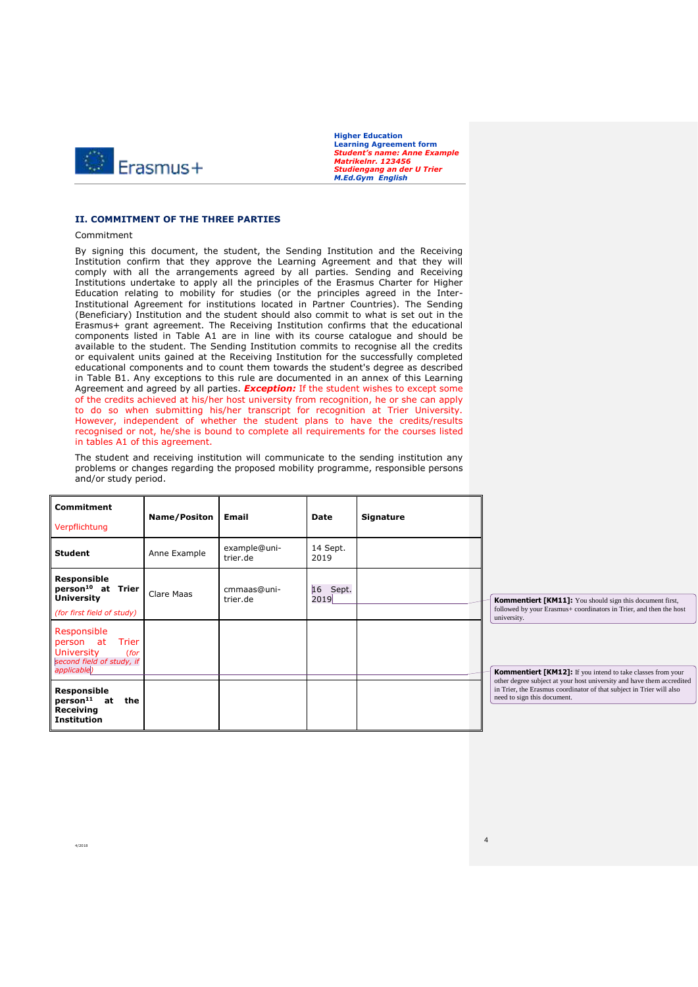

#### **II. COMMITMENT OF THE THREE PARTIES**

Commitment

4/2018

By signing this document, the student, the Sending Institution and the Receiving Institution confirm that they approve the Learning Agreement and that they will comply with all the arrangements agreed by all parties. Sending and Receiving Institutions undertake to apply all the principles of the Erasmus Charter for Higher Education relating to mobility for studies (or the principles agreed in the Inter-Institutional Agreement for institutions located in Partner Countries). The Sending (Beneficiary) Institution and the student should also commit to what is set out in the Erasmus+ grant agreement. The Receiving Institution confirms that the educational components listed in Table A1 are in line with its course catalogue and should be available to the student. The Sending Institution commits to recognise all the credits or equivalent units gained at the Receiving Institution for the successfully completed educational components and to count them towards the student's degree as described in Table B1. Any exceptions to this rule are documented in an annex of this Learning Agreement and agreed by all parties. *Exception:* If the student wishes to except some of the credits achieved at his/her host university from recognition, he or she can apply to do so when submitting his/her transcript for recognition at Trier University. However, independent of whether the student plans to have the credits/results recognised or not, he/she is bound to complete all requirements for the courses listed in tables A1 of this agreement.

The student and receiving institution will communicate to the sending institution any problems or changes regarding the proposed mobility programme, responsible persons and/or study period.

| Commitment<br>Verpflichtung                                                                                     | Name/Positon | Email                    | Date                | <b>Signature</b> |                                                                                                                                                                             |
|-----------------------------------------------------------------------------------------------------------------|--------------|--------------------------|---------------------|------------------|-----------------------------------------------------------------------------------------------------------------------------------------------------------------------------|
| <b>Student</b>                                                                                                  | Anne Example | example@uni-<br>trier.de | 14 Sept.<br>2019    |                  |                                                                                                                                                                             |
| <b>Responsible</b><br>person <sup>10</sup> at Trier<br><b>University</b><br>(for first field of study)          | Clare Maas   | cmmaas@uni-<br>trier.de  | 16<br>Sept.<br>2019 |                  | <b>Kommentiert [KM11]:</b> You should sign this document first,<br>followed by your Erasmus+ coordinators in Trier, and then the host<br>university.                        |
| Responsible<br>- at<br>Trier<br>person<br><b>University</b><br>(for<br>second field of study, if<br>applicable) |              |                          |                     |                  | <b>Kommentiert [KM12]:</b> If you intend to take classes from your                                                                                                          |
| Responsible<br>person <sup>11</sup> at<br>the<br>Receiving<br><b>Institution</b>                                |              |                          |                     |                  | other degree subject at your host university and have them accredite<br>in Trier, the Erasmus coordinator of that subject in Trier will also<br>need to sign this document. |

4

ost university and have them accredited